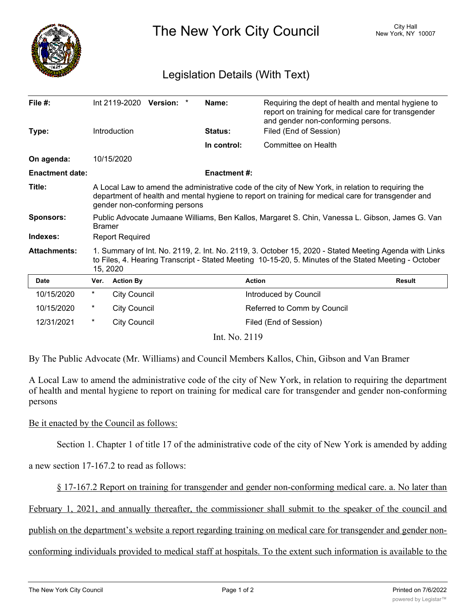

The New York City Council New York, NY 10007

## Legislation Details (With Text)

| File $#$ :             |                                                                                                                                                                                                                                           | Int 2119-2020 Version: * |  |  | Name:              | Requiring the dept of health and mental hygiene to<br>report on training for medical care for transgender<br>and gender non-conforming persons. |               |
|------------------------|-------------------------------------------------------------------------------------------------------------------------------------------------------------------------------------------------------------------------------------------|--------------------------|--|--|--------------------|-------------------------------------------------------------------------------------------------------------------------------------------------|---------------|
| Type:                  |                                                                                                                                                                                                                                           | Introduction             |  |  | Status:            | Filed (End of Session)                                                                                                                          |               |
|                        |                                                                                                                                                                                                                                           |                          |  |  | In control:        | Committee on Health                                                                                                                             |               |
| On agenda:             |                                                                                                                                                                                                                                           | 10/15/2020               |  |  |                    |                                                                                                                                                 |               |
| <b>Enactment date:</b> |                                                                                                                                                                                                                                           |                          |  |  | <b>Enactment#:</b> |                                                                                                                                                 |               |
| Title:                 | A Local Law to amend the administrative code of the city of New York, in relation to requiring the<br>department of health and mental hygiene to report on training for medical care for transgender and<br>gender non-conforming persons |                          |  |  |                    |                                                                                                                                                 |               |
| <b>Sponsors:</b>       | Public Advocate Jumaane Williams, Ben Kallos, Margaret S. Chin, Vanessa L. Gibson, James G. Van<br><b>Bramer</b>                                                                                                                          |                          |  |  |                    |                                                                                                                                                 |               |
| Indexes:               | <b>Report Required</b>                                                                                                                                                                                                                    |                          |  |  |                    |                                                                                                                                                 |               |
| <b>Attachments:</b>    | 1. Summary of Int. No. 2119, 2. Int. No. 2119, 3. October 15, 2020 - Stated Meeting Agenda with Links<br>to Files, 4. Hearing Transcript - Stated Meeting 10-15-20, 5. Minutes of the Stated Meeting - October<br>15, 2020                |                          |  |  |                    |                                                                                                                                                 |               |
| <b>Date</b>            | Ver.                                                                                                                                                                                                                                      | <b>Action By</b>         |  |  |                    | <b>Action</b>                                                                                                                                   | <b>Result</b> |
| 10/15/2020             | $^\star$                                                                                                                                                                                                                                  | <b>City Council</b>      |  |  |                    | Introduced by Council                                                                                                                           |               |
| 10/15/2020             | *                                                                                                                                                                                                                                         | <b>City Council</b>      |  |  |                    | Referred to Comm by Council                                                                                                                     |               |
| 12/31/2021             | $^\star$                                                                                                                                                                                                                                  | <b>City Council</b>      |  |  |                    | Filed (End of Session)                                                                                                                          |               |
| Int. No. 2119          |                                                                                                                                                                                                                                           |                          |  |  |                    |                                                                                                                                                 |               |

By The Public Advocate (Mr. Williams) and Council Members Kallos, Chin, Gibson and Van Bramer

A Local Law to amend the administrative code of the city of New York, in relation to requiring the department of health and mental hygiene to report on training for medical care for transgender and gender non-conforming persons

## Be it enacted by the Council as follows:

Section 1. Chapter 1 of title 17 of the administrative code of the city of New York is amended by adding

a new section 17-167.2 to read as follows:

§ 17-167.2 Report on training for transgender and gender non-conforming medical care. a. No later than

February 1, 2021, and annually thereafter, the commissioner shall submit to the speaker of the council and

publish on the department's website a report regarding training on medical care for transgender and gender non-

conforming individuals provided to medical staff at hospitals. To the extent such information is available to the